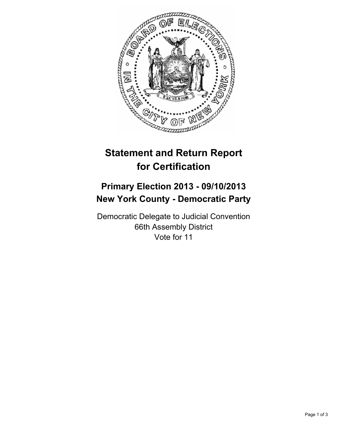

## **Statement and Return Report for Certification**

## **Primary Election 2013 - 09/10/2013 New York County - Democratic Party**

Democratic Delegate to Judicial Convention 66th Assembly District Vote for 11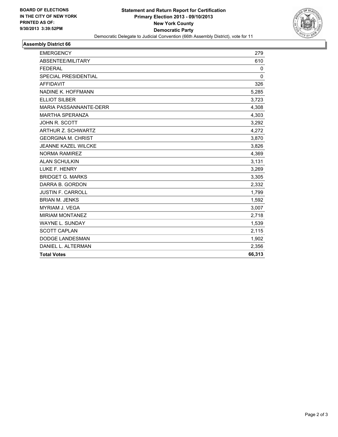

## **Assembly District 66**

| <b>EMERGENCY</b>              | 279      |
|-------------------------------|----------|
| ABSENTEE/MILITARY             | 610      |
| <b>FEDERAL</b>                | 0        |
| SPECIAL PRESIDENTIAL          | $\Omega$ |
| <b>AFFIDAVIT</b>              | 326      |
| NADINE K. HOFFMANN            | 5,285    |
| <b>ELLIOT SILBER</b>          | 3,723    |
| <b>MARIA PASSANNANTE-DERR</b> | 4,308    |
| <b>MARTHA SPERANZA</b>        | 4,303    |
| JOHN R. SCOTT                 | 3,292    |
| <b>ARTHUR Z. SCHWARTZ</b>     | 4,272    |
| <b>GEORGINA M. CHRIST</b>     | 3,870    |
| <b>JEANNE KAZEL WILCKE</b>    | 3,826    |
| <b>NORMA RAMIREZ</b>          | 4,369    |
| <b>ALAN SCHULKIN</b>          | 3,131    |
| LUKE F. HENRY                 | 3,269    |
| <b>BRIDGET G. MARKS</b>       | 3,305    |
| DARRA B. GORDON               | 2,332    |
| <b>JUSTIN F. CARROLL</b>      | 1,799    |
| <b>BRIAN M. JENKS</b>         | 1,592    |
| <b>MYRIAM J. VEGA</b>         | 3,007    |
| <b>MIRIAM MONTANEZ</b>        | 2,718    |
| WAYNE L. SUNDAY               | 1,539    |
| <b>SCOTT CAPLAN</b>           | 2,115    |
| <b>DODGE LANDESMAN</b>        | 1,902    |
| DANIEL L. ALTERMAN            | 2,356    |
| <b>Total Votes</b>            | 66,313   |